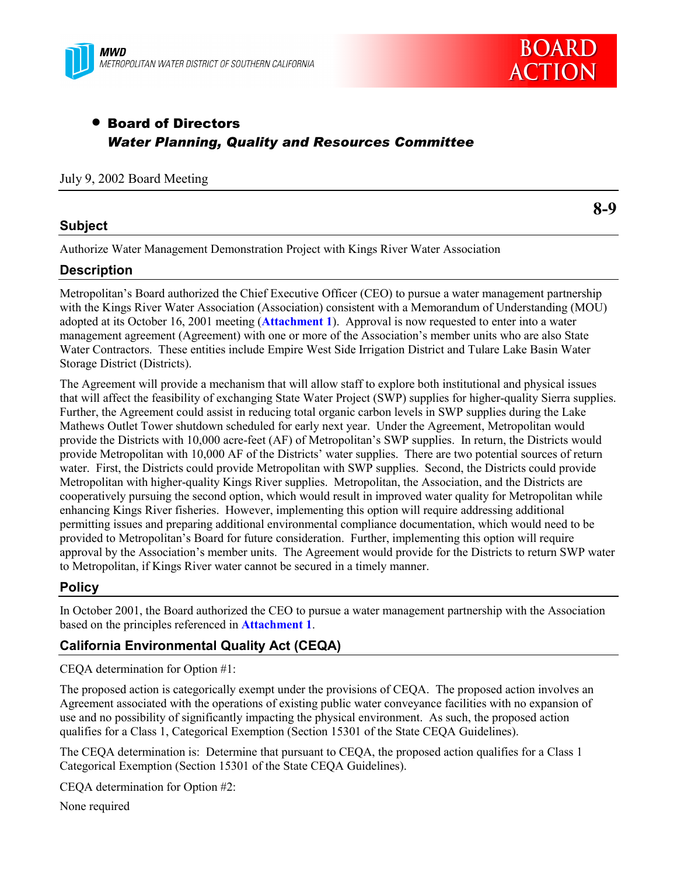



# • Board of Directors *Water Planning, Quality and Resources Committee*

#### July 9, 2002 Board Meeting

#### **Subject**

**8-9**

Authorize Water Management Demonstration Project with Kings River Water Association

#### **Description**

Metropolitan's Board authorized the Chief Executive Officer (CEO) to pursue a water management partnership with the Kings River Water Association (Association) consistent with a Memorandum of Understanding (MOU) adopted at its October 16, 2001 meeting (**Attachment 1**). Approval is now requested to enter into a water management agreement (Agreement) with one or more of the Association's member units who are also State Water Contractors. These entities include Empire West Side Irrigation District and Tulare Lake Basin Water Storage District (Districts).

The Agreement will provide a mechanism that will allow staff to explore both institutional and physical issues that will affect the feasibility of exchanging State Water Project (SWP) supplies for higher-quality Sierra supplies. Further, the Agreement could assist in reducing total organic carbon levels in SWP supplies during the Lake Mathews Outlet Tower shutdown scheduled for early next year. Under the Agreement, Metropolitan would provide the Districts with 10,000 acre-feet (AF) of Metropolitan's SWP supplies. In return, the Districts would provide Metropolitan with 10,000 AF of the Districts' water supplies. There are two potential sources of return water. First, the Districts could provide Metropolitan with SWP supplies. Second, the Districts could provide Metropolitan with higher-quality Kings River supplies. Metropolitan, the Association, and the Districts are cooperatively pursuing the second option, which would result in improved water quality for Metropolitan while enhancing Kings River fisheries. However, implementing this option will require addressing additional permitting issues and preparing additional environmental compliance documentation, which would need to be provided to Metropolitan's Board for future consideration. Further, implementing this option will require approval by the Association's member units. The Agreement would provide for the Districts to return SWP water to Metropolitan, if Kings River water cannot be secured in a timely manner.

## **Policy**

In October 2001, the Board authorized the CEO to pursue a water management partnership with the Association based on the principles referenced in **Attachment 1**.

#### **California Environmental Quality Act (CEQA)**

CEQA determination for Option #1:

The proposed action is categorically exempt under the provisions of CEQA. The proposed action involves an Agreement associated with the operations of existing public water conveyance facilities with no expansion of use and no possibility of significantly impacting the physical environment. As such, the proposed action qualifies for a Class 1, Categorical Exemption (Section 15301 of the State CEQA Guidelines).

The CEQA determination is: Determine that pursuant to CEQA, the proposed action qualifies for a Class 1 Categorical Exemption (Section 15301 of the State CEQA Guidelines).

CEQA determination for Option #2:

None required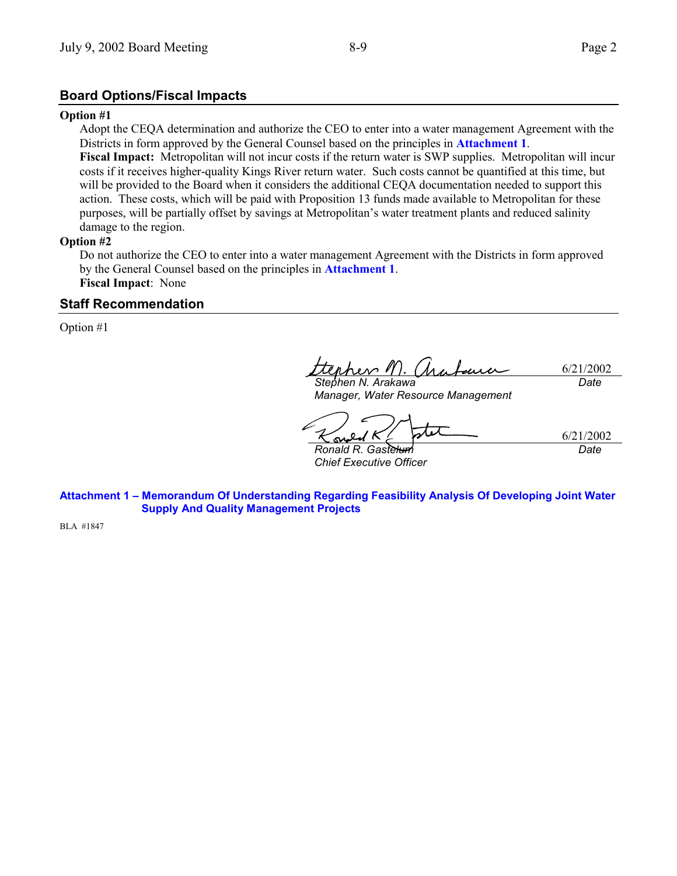### **Board Options/Fiscal Impacts**

#### **Option #1**

Adopt the CEQA determination and authorize the CEO to enter into a water management Agreement with the Districts in form approved by the General Counsel based on the principles in **Attachment 1**.

**Fiscal Impact:** Metropolitan will not incur costs if the return water is SWP supplies. Metropolitan will incur costs if it receives higher-quality Kings River return water. Such costs cannot be quantified at this time, but will be provided to the Board when it considers the additional CEQA documentation needed to support this action. These costs, which will be paid with Proposition 13 funds made available to Metropolitan for these purposes, will be partially offset by savings at Metropolitan's water treatment plants and reduced salinity damage to the region.

#### **Option #2**

Do not authorize the CEO to enter into a water management Agreement with the Districts in form approved by the General Counsel based on the principles in **Attachment 1**. **Fiscal Impact**:None

#### **Staff Recommendation**

Option #1

hev l 6/21/2002 *Date*

*Stephen N. Arakawa Manager, Water Resource Management*

6/21/2002 Ş

*Ronald R. Gastelum Chief Executive Officer* *Date*

**Attachment 1 – Memorandum Of Understanding Regarding Feasibility Analysis Of Developing Joint Water Supply And Quality Management Projects**

BLA #1847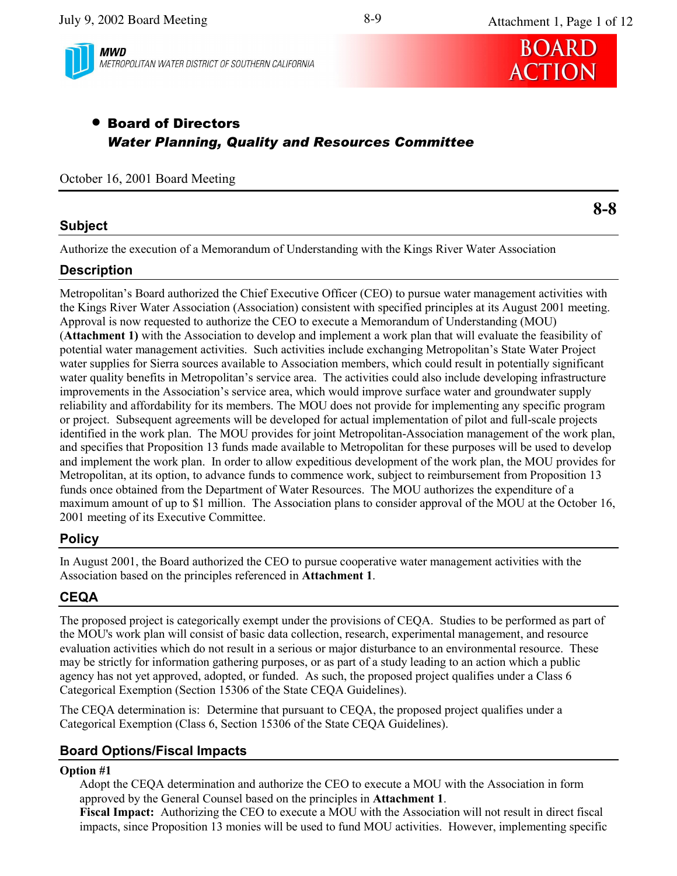

**MWD** METROPOLITAN WATER DISTRICT OF SOUTHERN CALIFORNIA



Attachment 1, Page 1 of 12

# **• Board of Directors Water Planning, Quality and Resources Committee**

#### October 16, 2001 Board Meeting

### **Subject**

 $8 - 8$ 

Authorize the execution of a Memorandum of Understanding with the Kings River Water Association

## **Description**

Metropolitan's Board authorized the Chief Executive Officer (CEO) to pursue water management activities with the Kings River Water Association (Association) consistent with specified principles at its August 2001 meeting. Approval is now requested to authorize the CEO to execute a Memorandum of Understanding (MOU) (Attachment 1) with the Association to develop and implement a work plan that will evaluate the feasibility of potential water management activities. Such activities include exchanging Metropolitan's State Water Project water supplies for Sierra sources available to Association members, which could result in potentially significant water quality benefits in Metropolitan's service area. The activities could also include developing infrastructure improvements in the Association's service area, which would improve surface water and groundwater supply reliability and affordability for its members. The MOU does not provide for implementing any specific program or project. Subsequent agreements will be developed for actual implementation of pilot and full-scale projects identified in the work plan. The MOU provides for joint Metropolitan-Association management of the work plan, and specifies that Proposition 13 funds made available to Metropolitan for these purposes will be used to develop and implement the work plan. In order to allow expeditious development of the work plan, the MOU provides for Metropolitan, at its option, to advance funds to commence work, subject to reimbursement from Proposition 13 funds once obtained from the Department of Water Resources. The MOU authorizes the expenditure of a maximum amount of up to \$1 million. The Association plans to consider approval of the MOU at the October 16, 2001 meeting of its Executive Committee.

## **Policy**

In August 2001, the Board authorized the CEO to pursue cooperative water management activities with the Association based on the principles referenced in Attachment 1.

# **CEQA**

The proposed project is categorically exempt under the provisions of CEQA. Studies to be performed as part of the MOU's work plan will consist of basic data collection, research, experimental management, and resource evaluation activities which do not result in a serious or major disturbance to an environmental resource. These may be strictly for information gathering purposes, or as part of a study leading to an action which a public agency has not yet approved, adopted, or funded. As such, the proposed project qualifies under a Class 6 Categorical Exemption (Section 15306 of the State CEQA Guidelines).

The CEOA determination is: Determine that pursuant to CEOA, the proposed project qualifies under a Categorical Exemption (Class 6, Section 15306 of the State CEOA Guidelines).

## **Board Options/Fiscal Impacts**

#### **Option #1**

Adopt the CEQA determination and authorize the CEO to execute a MOU with the Association in form approved by the General Counsel based on the principles in Attachment 1.

Fiscal Impact: Authorizing the CEO to execute a MOU with the Association will not result in direct fiscal impacts, since Proposition 13 monies will be used to fund MOU activities. However, implementing specific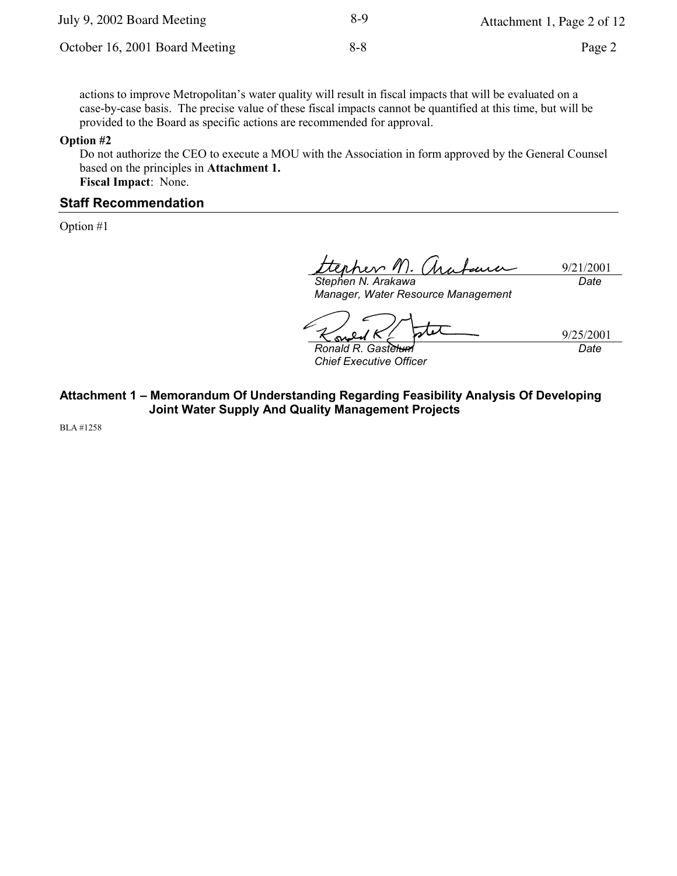| July 9, 2002 Board Meeting     | 8-9 | Attachment 1, Page 2 of 12 |
|--------------------------------|-----|----------------------------|
| October 16, 2001 Board Meeting | 8-8 | Page 2                     |

actions to improve Metropolitan's water quality will result in fiscal impacts that will be evaluated on a case-by-case basis. The precise value of these fiscal impacts cannot be quantified at this time, but will be provided to the Board as specific actions are recommended for approval.

#### Option #2

Do not authorize the CEO to execute a MOU with the Association in form approved by the General Counsel based on the principles in Attachment 1. Fiscal Impact: None.

#### **Staff Recommendation**

Option #1

<u>rev M</u>. 9/21/2001 funn Stephen N. Arakawa Date

Manager, Water Resource Management

 $\boldsymbol{\nu}$ 9/25/2001

Ronald R. Gastelum **Chief Executive Officer**  Date

# Attachment 1 - Memorandum Of Understanding Regarding Feasibility Analysis Of Developing **Joint Water Supply And Quality Management Projects**

**BLA** #1258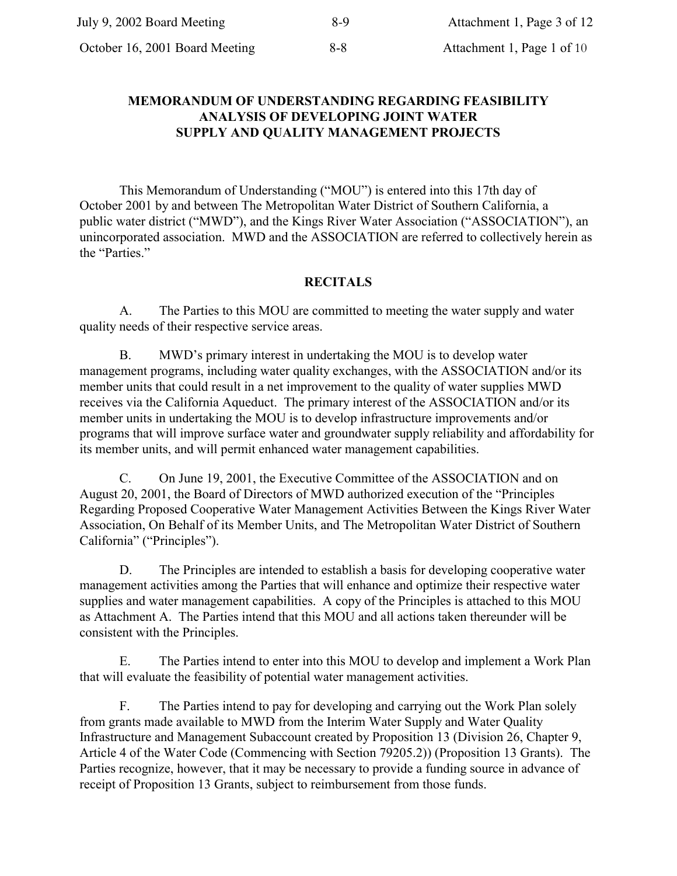# **MEMORANDUM OF UNDERSTANDING REGARDING FEASIBILITY ANALYSIS OF DEVELOPING JOINT WATER** SUPPLY AND QUALITY MANAGEMENT PROJECTS

This Memorandum of Understanding ("MOU") is entered into this 17th day of October 2001 by and between The Metropolitan Water District of Southern California, a public water district ("MWD"), and the Kings River Water Association ("ASSOCIATION"), an unincorporated association. MWD and the ASSOCIATION are referred to collectively herein as the "Parties."

# **RECITALS**

The Parties to this MOU are committed to meeting the water supply and water A. quality needs of their respective service areas.

MWD's primary interest in undertaking the MOU is to develop water **B.** management programs, including water quality exchanges, with the ASSOCIATION and/or its member units that could result in a net improvement to the quality of water supplies MWD receives via the California Aqueduct. The primary interest of the ASSOCIATION and/or its member units in undertaking the MOU is to develop infrastructure improvements and/or programs that will improve surface water and groundwater supply reliability and affordability for its member units, and will permit enhanced water management capabilities.

 $C_{\cdot}$ On June 19, 2001, the Executive Committee of the ASSOCIATION and on August 20, 2001, the Board of Directors of MWD authorized execution of the "Principles" Regarding Proposed Cooperative Water Management Activities Between the Kings River Water Association, On Behalf of its Member Units, and The Metropolitan Water District of Southern California" ("Principles").

D. The Principles are intended to establish a basis for developing cooperative water management activities among the Parties that will enhance and optimize their respective water supplies and water management capabilities. A copy of the Principles is attached to this MOU as Attachment A. The Parties intend that this MOU and all actions taken thereunder will be consistent with the Principles.

The Parties intend to enter into this MOU to develop and implement a Work Plan Е. that will evaluate the feasibility of potential water management activities.

F. The Parties intend to pay for developing and carrying out the Work Plan solely from grants made available to MWD from the Interim Water Supply and Water Quality Infrastructure and Management Subaccount created by Proposition 13 (Division 26, Chapter 9, Article 4 of the Water Code (Commencing with Section 79205.2)) (Proposition 13 Grants). The Parties recognize, however, that it may be necessary to provide a funding source in advance of receipt of Proposition 13 Grants, subject to reimbursement from those funds.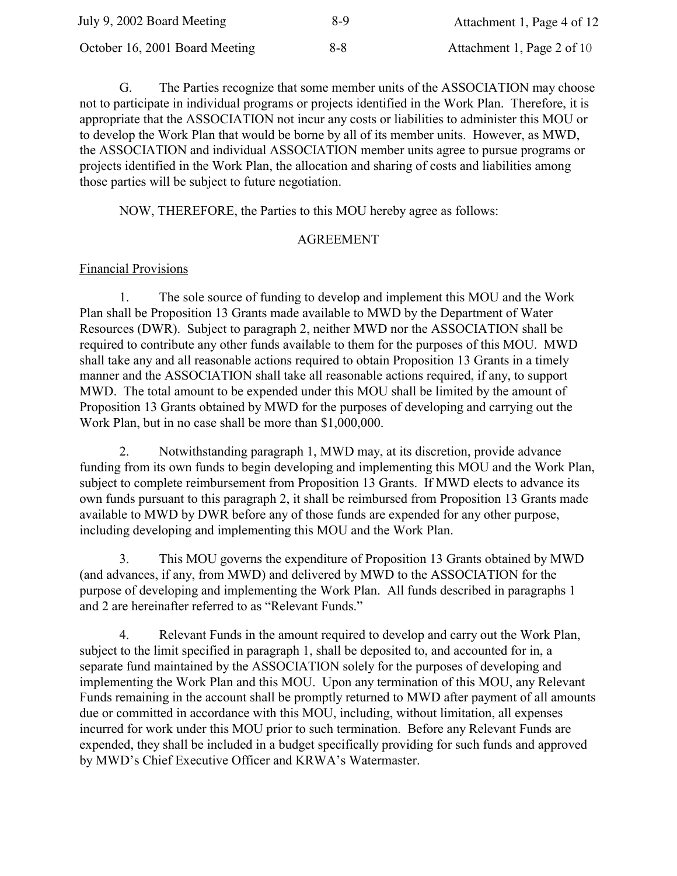| July 9, 2002 Board Meeting     | 8-9     | Attachment 1, Page 4 of 12 |
|--------------------------------|---------|----------------------------|
| October 16, 2001 Board Meeting | $8 - 8$ | Attachment 1, Page 2 of 10 |

The Parties recognize that some member units of the ASSOCIATION may choose G. not to participate in individual programs or projects identified in the Work Plan. Therefore, it is appropriate that the ASSOCIATION not incur any costs or liabilities to administer this MOU or to develop the Work Plan that would be borne by all of its member units. However, as MWD, the ASSOCIATION and individual ASSOCIATION member units agree to pursue programs or projects identified in the Work Plan, the allocation and sharing of costs and liabilities among those parties will be subject to future negotiation.

NOW, THEREFORE, the Parties to this MOU hereby agree as follows:

## **AGREEMENT**

# **Financial Provisions**

The sole source of funding to develop and implement this MOU and the Work  $1<sub>1</sub>$ Plan shall be Proposition 13 Grants made available to MWD by the Department of Water Resources (DWR). Subject to paragraph 2, neither MWD nor the ASSOCIATION shall be required to contribute any other funds available to them for the purposes of this MOU. MWD shall take any and all reasonable actions required to obtain Proposition 13 Grants in a timely manner and the ASSOCIATION shall take all reasonable actions required, if any, to support MWD. The total amount to be expended under this MOU shall be limited by the amount of Proposition 13 Grants obtained by MWD for the purposes of developing and carrying out the Work Plan, but in no case shall be more than \$1,000,000.

 $\overline{2}$ . Notwithstanding paragraph 1, MWD may, at its discretion, provide advance funding from its own funds to begin developing and implementing this MOU and the Work Plan, subject to complete reimbursement from Proposition 13 Grants. If MWD elects to advance its own funds pursuant to this paragraph 2, it shall be reimbursed from Proposition 13 Grants made available to MWD by DWR before any of those funds are expended for any other purpose, including developing and implementing this MOU and the Work Plan.

 $3<sub>1</sub>$ This MOU governs the expenditure of Proposition 13 Grants obtained by MWD (and advances, if any, from MWD) and delivered by MWD to the ASSOCIATION for the purpose of developing and implementing the Work Plan. All funds described in paragraphs 1 and 2 are hereinafter referred to as "Relevant Funds."

 $4_{\cdot}$ Relevant Funds in the amount required to develop and carry out the Work Plan, subject to the limit specified in paragraph 1, shall be deposited to, and accounted for in, a separate fund maintained by the ASSOCIATION solely for the purposes of developing and implementing the Work Plan and this MOU. Upon any termination of this MOU, any Relevant Funds remaining in the account shall be promptly returned to MWD after payment of all amounts due or committed in accordance with this MOU, including, without limitation, all expenses incurred for work under this MOU prior to such termination. Before any Relevant Funds are expended, they shall be included in a budget specifically providing for such funds and approved by MWD's Chief Executive Officer and KRWA's Watermaster.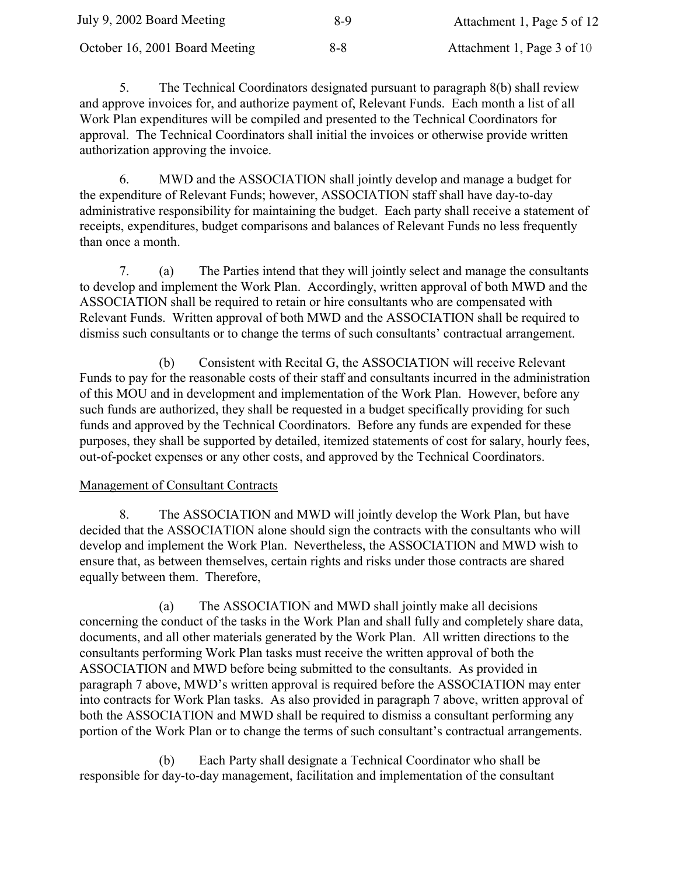| July 9, 2002 Board Meeting     | 8-9     | Attachment 1, Page 5 of 12 |
|--------------------------------|---------|----------------------------|
| October 16, 2001 Board Meeting | $8 - 8$ | Attachment 1, Page 3 of 10 |

5. The Technical Coordinators designated pursuant to paragraph 8(b) shall review and approve invoices for, and authorize payment of, Relevant Funds. Each month a list of all Work Plan expenditures will be compiled and presented to the Technical Coordinators for approval. The Technical Coordinators shall initial the invoices or otherwise provide written authorization approving the invoice.

MWD and the ASSOCIATION shall jointly develop and manage a budget for 6 the expenditure of Relevant Funds; however, ASSOCIATION staff shall have day-to-day administrative responsibility for maintaining the budget. Each party shall receive a statement of receipts, expenditures, budget comparisons and balances of Relevant Funds no less frequently than once a month.

 $7<sup>7</sup>$ The Parties intend that they will jointly select and manage the consultants  $(a)$ to develop and implement the Work Plan. Accordingly, written approval of both MWD and the ASSOCIATION shall be required to retain or hire consultants who are compensated with Relevant Funds. Written approval of both MWD and the ASSOCIATION shall be required to dismiss such consultants or to change the terms of such consultants' contractual arrangement.

Consistent with Recital G, the ASSOCIATION will receive Relevant (b) Funds to pay for the reasonable costs of their staff and consultants incurred in the administration of this MOU and in development and implementation of the Work Plan. However, before any such funds are authorized, they shall be requested in a budget specifically providing for such funds and approved by the Technical Coordinators. Before any funds are expended for these purposes, they shall be supported by detailed, itemized statements of cost for salary, hourly fees, out-of-pocket expenses or any other costs, and approved by the Technical Coordinators.

# **Management of Consultant Contracts**

 $\mathsf{R}$ The ASSOCIATION and MWD will jointly develop the Work Plan, but have decided that the ASSOCIATION alone should sign the contracts with the consultants who will develop and implement the Work Plan. Nevertheless, the ASSOCIATION and MWD wish to ensure that, as between themselves, certain rights and risks under those contracts are shared equally between them. Therefore,

The ASSOCIATION and MWD shall jointly make all decisions (a) concerning the conduct of the tasks in the Work Plan and shall fully and completely share data. documents, and all other materials generated by the Work Plan. All written directions to the consultants performing Work Plan tasks must receive the written approval of both the ASSOCIATION and MWD before being submitted to the consultants. As provided in paragraph 7 above, MWD's written approval is required before the ASSOCIATION may enter into contracts for Work Plan tasks. As also provided in paragraph 7 above, written approval of both the ASSOCIATION and MWD shall be required to dismiss a consultant performing any portion of the Work Plan or to change the terms of such consultant's contractual arrangements.

Each Party shall designate a Technical Coordinator who shall be (b) responsible for day-to-day management, facilitation and implementation of the consultant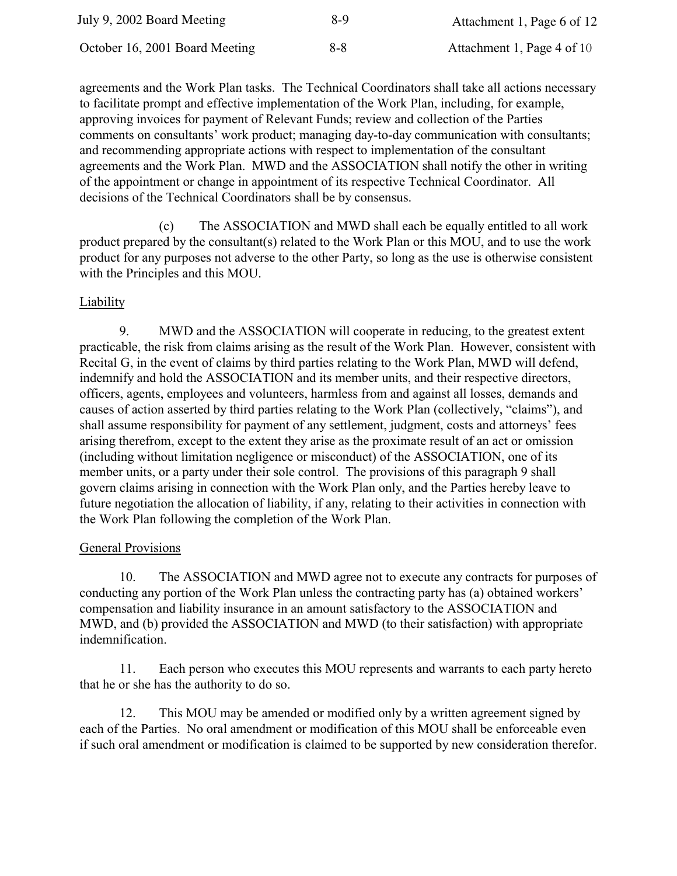| July 9, 2002 Board Meeting     | 8-9     | Attachment 1, Page 6 of 12 |
|--------------------------------|---------|----------------------------|
| October 16, 2001 Board Meeting | $8 - 8$ | Attachment 1, Page 4 of 10 |

agreements and the Work Plan tasks. The Technical Coordinators shall take all actions necessary to facilitate prompt and effective implementation of the Work Plan, including, for example, approving invoices for payment of Relevant Funds; review and collection of the Parties comments on consultants' work product; managing day-to-day communication with consultants; and recommending appropriate actions with respect to implementation of the consultant agreements and the Work Plan. MWD and the ASSOCIATION shall notify the other in writing of the appointment or change in appointment of its respective Technical Coordinator. All decisions of the Technical Coordinators shall be by consensus.

The ASSOCIATION and MWD shall each be equally entitled to all work  $(c)$ product prepared by the consultant(s) related to the Work Plan or this MOU, and to use the work product for any purposes not adverse to the other Party, so long as the use is otherwise consistent with the Principles and this MOU.

## Liability

9. MWD and the ASSOCIATION will cooperate in reducing, to the greatest extent practicable, the risk from claims arising as the result of the Work Plan. However, consistent with Recital G, in the event of claims by third parties relating to the Work Plan, MWD will defend, indemnify and hold the ASSOCIATION and its member units, and their respective directors, officers, agents, employees and volunteers, harmless from and against all losses, demands and causes of action asserted by third parties relating to the Work Plan (collectively, "claims"), and shall assume responsibility for payment of any settlement, judgment, costs and attorneys' fees arising therefrom, except to the extent they arise as the proximate result of an act or omission (including without limitation negligence or misconduct) of the ASSOCIATION, one of its member units, or a party under their sole control. The provisions of this paragraph 9 shall govern claims arising in connection with the Work Plan only, and the Parties hereby leave to future negotiation the allocation of liability, if any, relating to their activities in connection with the Work Plan following the completion of the Work Plan.

## **General Provisions**

10. The ASSOCIATION and MWD agree not to execute any contracts for purposes of conducting any portion of the Work Plan unless the contracting party has (a) obtained workers' compensation and liability insurance in an amount satisfactory to the ASSOCIATION and MWD, and (b) provided the ASSOCIATION and MWD (to their satisfaction) with appropriate indemnification.

 $11.$ Each person who executes this MOU represents and warrants to each party hereto that he or she has the authority to do so.

12. This MOU may be amended or modified only by a written agreement signed by each of the Parties. No oral amendment or modification of this MOU shall be enforceable even if such oral amendment or modification is claimed to be supported by new consideration therefor.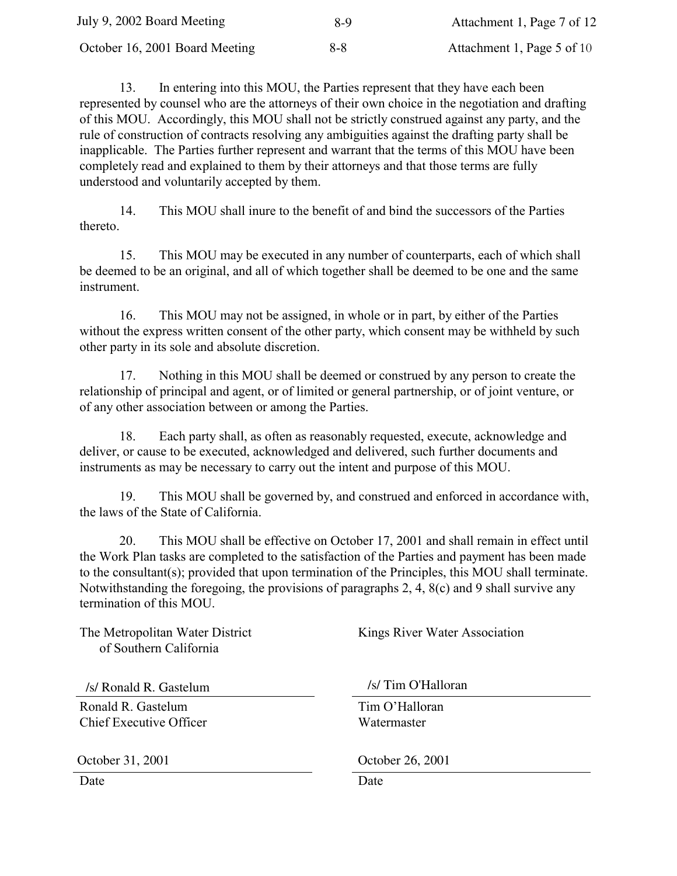| July 9, 2002 Board Meeting     | 8-9 | Attachment 1, Page 7 of 12 |
|--------------------------------|-----|----------------------------|
| October 16, 2001 Board Meeting | 8-8 | Attachment 1, Page 5 of 10 |

13. In entering into this MOU, the Parties represent that they have each been represented by counsel who are the attorneys of their own choice in the negotiation and drafting of this MOU. Accordingly, this MOU shall not be strictly construed against any party, and the rule of construction of contracts resolving any ambiguities against the drafting party shall be inapplicable. The Parties further represent and warrant that the terms of this MOU have been completely read and explained to them by their attorneys and that those terms are fully understood and voluntarily accepted by them.

14. This MOU shall inure to the benefit of and bind the successors of the Parties thereto.

15. This MOU may be executed in any number of counterparts, each of which shall be deemed to be an original, and all of which together shall be deemed to be one and the same instrument.

16. This MOU may not be assigned, in whole or in part, by either of the Parties without the express written consent of the other party, which consent may be withheld by such other party in its sole and absolute discretion.

17. Nothing in this MOU shall be deemed or construed by any person to create the relationship of principal and agent, or of limited or general partnership, or of joint venture, or of any other association between or among the Parties.

18. Each party shall, as often as reasonably requested, execute, acknowledge and deliver, or cause to be executed, acknowledged and delivered, such further documents and instruments as may be necessary to carry out the intent and purpose of this MOU.

19. This MOU shall be governed by, and construed and enforced in accordance with, the laws of the State of California.

20. This MOU shall be effective on October 17, 2001 and shall remain in effect until the Work Plan tasks are completed to the satisfaction of the Parties and payment has been made to the consultant(s); provided that upon termination of the Principles, this MOU shall terminate. Notwithstanding the foregoing, the provisions of paragraphs 2, 4,  $8(c)$  and 9 shall survive any termination of this MOU.

The Metropolitan Water District of Southern California Kings River Water Association Ronald R. Gastelum Chief Executive Officer Tim O'Halloran Watermaster Date Date Date /s/ Ronald R. Gastelum /s/ Tim O'Halloran October 31, 2001 October 26, 2001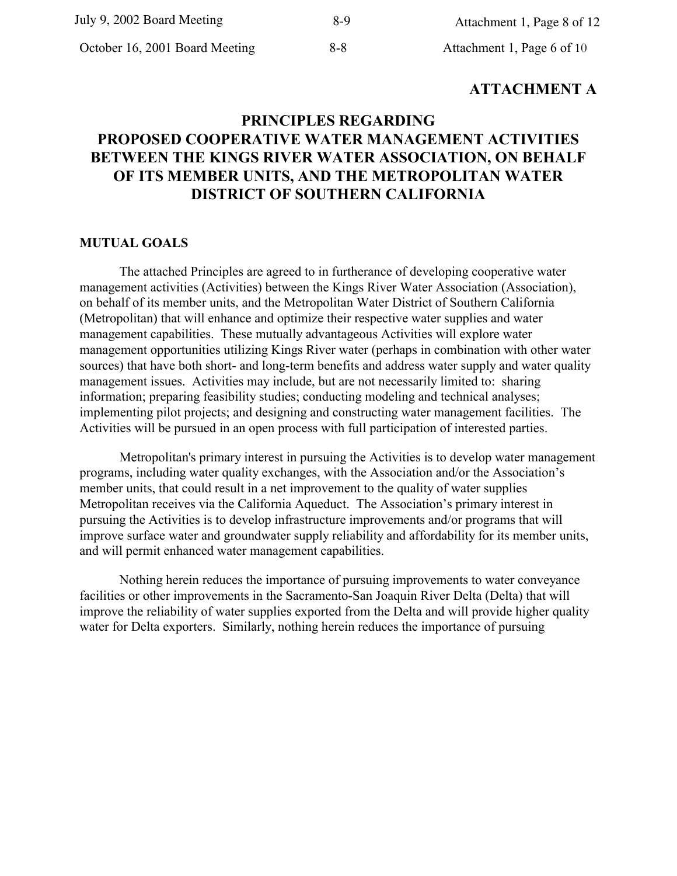# **ATTACHMENT A**

# PRINCIPLES REGARDING **PROPOSED COOPERATIVE WATER MANAGEMENT ACTIVITIES BETWEEN THE KINGS RIVER WATER ASSOCIATION, ON BEHALF** OF ITS MEMBER UNITS, AND THE METROPOLITAN WATER **DISTRICT OF SOUTHERN CALIFORNIA**

#### **MUTUAL GOALS**

The attached Principles are agreed to in furtherance of developing cooperative water management activities (Activities) between the Kings River Water Association (Association). on behalf of its member units, and the Metropolitan Water District of Southern California (Metropolitan) that will enhance and optimize their respective water supplies and water management capabilities. These mutually advantageous Activities will explore water management opportunities utilizing Kings River water (perhaps in combination with other water sources) that have both short- and long-term benefits and address water supply and water quality management issues. Activities may include, but are not necessarily limited to: sharing information; preparing feasibility studies; conducting modeling and technical analyses; implementing pilot projects; and designing and constructing water management facilities. The Activities will be pursued in an open process with full participation of interested parties.

Metropolitan's primary interest in pursuing the Activities is to develop water management programs, including water quality exchanges, with the Association and/or the Association's member units, that could result in a net improvement to the quality of water supplies Metropolitan receives via the California Aqueduct. The Association's primary interest in pursuing the Activities is to develop infrastructure improvements and/or programs that will improve surface water and groundwater supply reliability and affordability for its member units, and will permit enhanced water management capabilities.

Nothing herein reduces the importance of pursuing improvements to water conveyance facilities or other improvements in the Sacramento-San Joaquin River Delta (Delta) that will improve the reliability of water supplies exported from the Delta and will provide higher quality water for Delta exporters. Similarly, nothing herein reduces the importance of pursuing

 $8 - 8$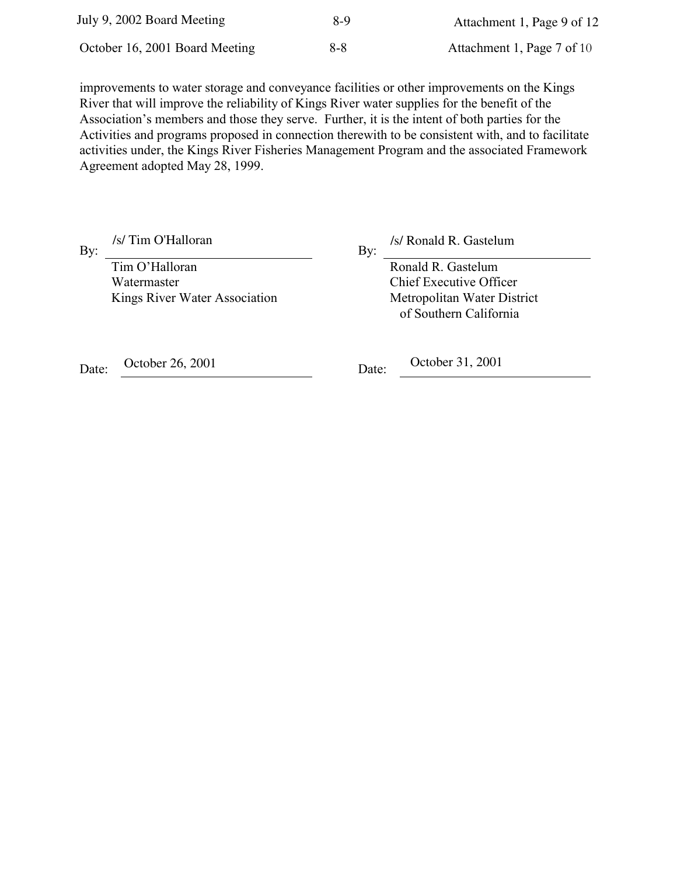| July 9, 2002 Board Meeting     | 8-9     | Attachment 1, Page 9 of 12 |
|--------------------------------|---------|----------------------------|
| October 16, 2001 Board Meeting | $8 - 8$ | Attachment 1, Page 7 of 10 |

improvements to water storage and conveyance facilities or other improvements on the Kings River that will improve the reliability of Kings River water supplies for the benefit of the Association's members and those they serve. Further, it is the intent of both parties for the Activities and programs proposed in connection therewith to be consistent with, and to facilitate activities under, the Kings River Fisheries Management Program and the associated Framework Agreement adopted May 28, 1999.

/s/ Tim O'Halloran By:

Tim O'Halloran Watermaster Kings River Water Association

/s/ Ronald R. Gastelum  $Bv$ :

> Ronald R. Gastelum **Chief Executive Officer** Metropolitan Water District of Southern California

October 26, 2001 Date:

October 31, 2001 Date: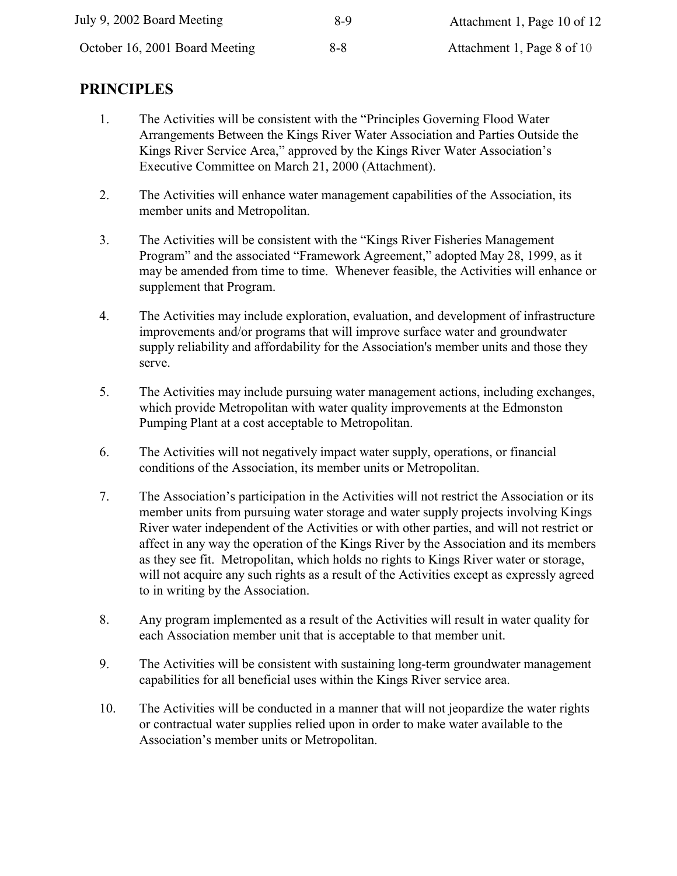| July 9, 2002 Board Meeting     | 8-9     | Attachment 1, Page 10 of 12 |
|--------------------------------|---------|-----------------------------|
| October 16, 2001 Board Meeting | $8 - 8$ | Attachment 1, Page 8 of 10  |

# **FRINCIPLES**

- 1. The Activities will be consistent with the "Principles Governing Flood Water" Arrangements Between the Kings River Water Association and Parties Outside the Kings River Service Area," approved by the Kings River Water Association's Executive Committee on March 21, 2000 (Attachment).
- 2. The Activities will enhance water management capabilities of the Association, its member units and Metropolitan.
- 3. The Activities will be consistent with the "Kings River Fisheries Management" Program" and the associated "Framework Agreement," adopted May 28, 1999, as it may be amended from time to time. Whenever feasible, the Activities will enhance or supplement that Program.
- 4. The Activities may include exploration, evaluation, and development of infrastructure improvements and/or programs that will improve surface water and groundwater supply reliability and affordability for the Association's member units and those they serve.
- 5. The Activities may include pursuing water management actions, including exchanges, which provide Metropolitan with water quality improvements at the Edmonston Pumping Plant at a cost acceptable to Metropolitan.
- 6. The Activities will not negatively impact water supply, operations, or financial conditions of the Association, its member units or Metropolitan.
- 7. The Association's participation in the Activities will not restrict the Association or its member units from pursuing water storage and water supply projects involving Kings River water independent of the Activities or with other parties, and will not restrict or affect in any way the operation of the Kings River by the Association and its members as they see fit. Metropolitan, which holds no rights to Kings River water or storage, will not acquire any such rights as a result of the Activities except as expressly agreed to in writing by the Association.
- 8. Any program implemented as a result of the Activities will result in water quality for each Association member unit that is acceptable to that member unit.
- 9. The Activities will be consistent with sustaining long-term groundwater management capabilities for all beneficial uses within the Kings River service area.
- 10. The Activities will be conducted in a manner that will not jeopardize the water rights or contractual water supplies relied upon in order to make water available to the Association's member units or Metropolitan.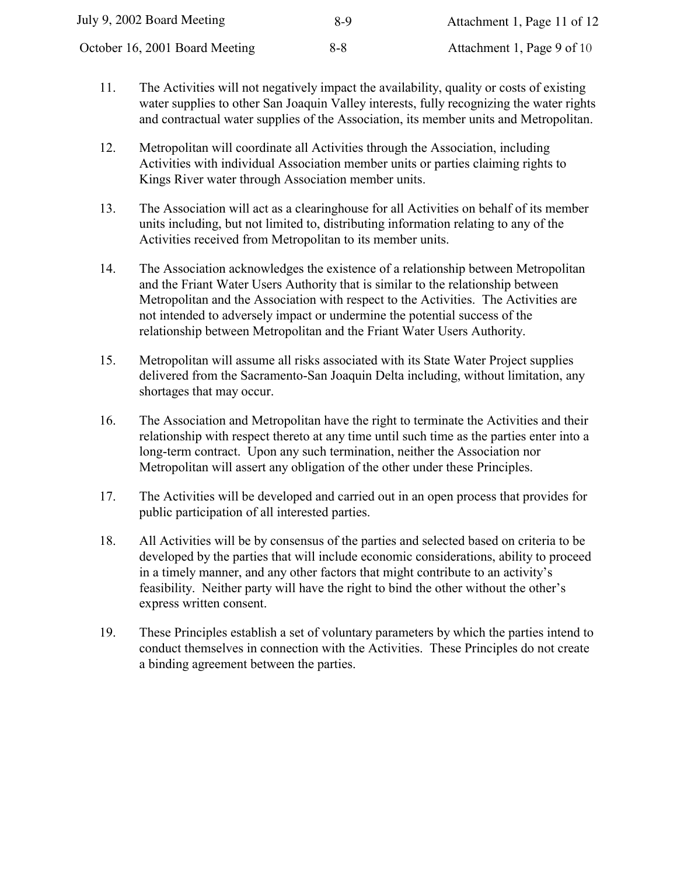| July 9, 2002 Board Meeting     | 8-9     | Attachment 1, Page 11 of 12 |
|--------------------------------|---------|-----------------------------|
| October 16, 2001 Board Meeting | $8 - 8$ | Attachment 1, Page 9 of 10  |

- 11. The Activities will not negatively impact the availability, quality or costs of existing water supplies to other San Joaquin Valley interests, fully recognizing the water rights and contractual water supplies of the Association, its member units and Metropolitan.
- $12.$ Metropolitan will coordinate all Activities through the Association, including Activities with individual Association member units or parties claiming rights to Kings River water through Association member units.
- $13.$ The Association will act as a clearinghouse for all Activities on behalf of its member units including, but not limited to, distributing information relating to any of the Activities received from Metropolitan to its member units.
- 14. The Association acknowledges the existence of a relationship between Metropolitan and the Friant Water Users Authority that is similar to the relationship between Metropolitan and the Association with respect to the Activities. The Activities are not intended to adversely impact or undermine the potential success of the relationship between Metropolitan and the Friant Water Users Authority.
- 15. Metropolitan will assume all risks associated with its State Water Project supplies delivered from the Sacramento-San Joaquin Delta including, without limitation, any shortages that may occur.
- 16. The Association and Metropolitan have the right to terminate the Activities and their relationship with respect thereto at any time until such time as the parties enter into a long-term contract. Upon any such termination, neither the Association nor Metropolitan will assert any obligation of the other under these Principles.
- 17. The Activities will be developed and carried out in an open process that provides for public participation of all interested parties.
- 18. All Activities will be by consensus of the parties and selected based on criteria to be developed by the parties that will include economic considerations, ability to proceed in a timely manner, and any other factors that might contribute to an activity's feasibility. Neither party will have the right to bind the other without the other's express written consent.
- 19. These Principles establish a set of voluntary parameters by which the parties intend to conduct themselves in connection with the Activities. These Principles do not create a binding agreement between the parties.